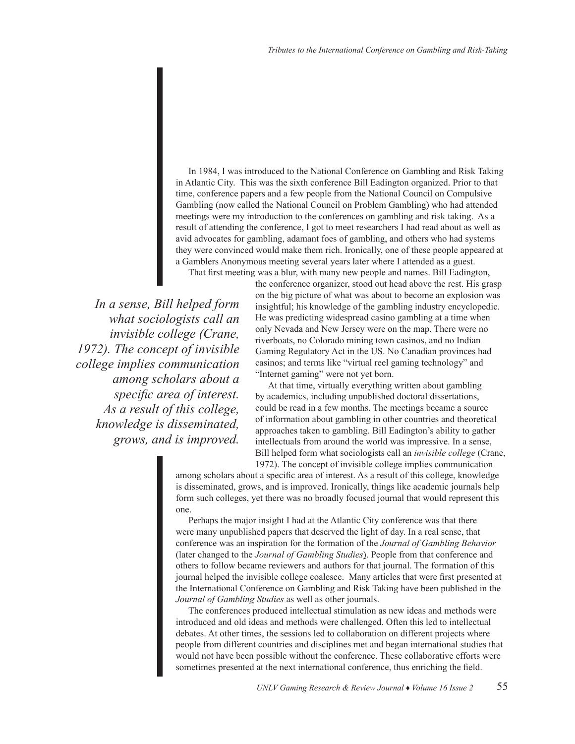In 1984, I was introduced to the National Conference on Gambling and Risk Taking in Atlantic City. This was the sixth conference Bill Eadington organized. Prior to that time, conference papers and a few people from the National Council on Compulsive Gambling (now called the National Council on Problem Gambling) who had attended meetings were my introduction to the conferences on gambling and risk taking. As a result of attending the conference, I got to meet researchers I had read about as well as avid advocates for gambling, adamant foes of gambling, and others who had systems they were convinced would make them rich. Ironically, one of these people appeared at a Gamblers Anonymous meeting several years later where I attended as a guest.

That first meeting was a blur, with many new people and names. Bill Eadington,

*In a sense, Bill helped form what sociologists call an invisible college (Crane, 1972). The concept of invisible college implies communication among scholars about a specific area of interest. As a result of this college, knowledge is disseminated, grows, and is improved.* 

the conference organizer, stood out head above the rest. His grasp on the big picture of what was about to become an explosion was insightful; his knowledge of the gambling industry encyclopedic. He was predicting widespread casino gambling at a time when only Nevada and New Jersey were on the map. There were no riverboats, no Colorado mining town casinos, and no Indian Gaming Regulatory Act in the US. No Canadian provinces had casinos; and terms like "virtual reel gaming technology" and "Internet gaming" were not yet born.

At that time, virtually everything written about gambling by academics, including unpublished doctoral dissertations, could be read in a few months. The meetings became a source of information about gambling in other countries and theoretical approaches taken to gambling. Bill Eadington's ability to gather intellectuals from around the world was impressive. In a sense, Bill helped form what sociologists call an *invisible college* (Crane, 1972). The concept of invisible college implies communication

among scholars about a specific area of interest. As a result of this college, knowledge is disseminated, grows, and is improved. Ironically, things like academic journals help form such colleges, yet there was no broadly focused journal that would represent this one.

Perhaps the major insight I had at the Atlantic City conference was that there were many unpublished papers that deserved the light of day. In a real sense, that conference was an inspiration for the formation of the *Journal of Gambling Behavior* (later changed to the *Journal of Gambling Studies*). People from that conference and others to follow became reviewers and authors for that journal. The formation of this journal helped the invisible college coalesce. Many articles that were first presented at the International Conference on Gambling and Risk Taking have been published in the *Journal of Gambling Studies* as well as other journals.

The conferences produced intellectual stimulation as new ideas and methods were introduced and old ideas and methods were challenged. Often this led to intellectual debates. At other times, the sessions led to collaboration on different projects where people from different countries and disciplines met and began international studies that would not have been possible without the conference. These collaborative efforts were sometimes presented at the next international conference, thus enriching the field.